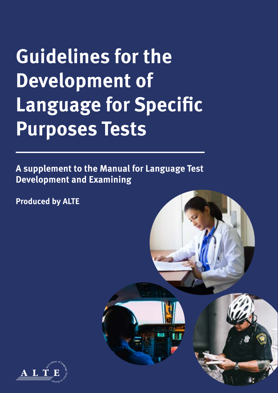# **Guidelines for the Development of Language for Specific Purposes Tests**

**A supplement to the Manual for Language Test Development and Examining**

**Produced by ALTE**



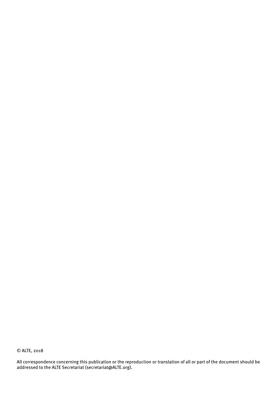© ALTE, 2018

All correspondence concerning this publication or the reproduction or translation of all or part of the document should be addressed to the ALTE Secretariat [\(secretariat@ALTE.org\)](mailto:secretariat%40ALTE.org?subject=).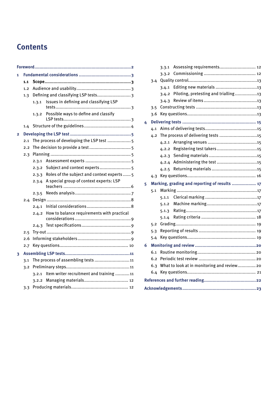# **Contents**

|                | Foreword |                                           |                                             |  |  |  |
|----------------|----------|-------------------------------------------|---------------------------------------------|--|--|--|
| 1              |          |                                           |                                             |  |  |  |
|                | 1.1      |                                           |                                             |  |  |  |
|                | 1.2      |                                           |                                             |  |  |  |
|                | 1,3      |                                           | Defining and classifying LSP tests 3        |  |  |  |
|                |          | 1.3.1                                     | Issues in defining and classifying LSP      |  |  |  |
|                |          | 1.3.2                                     | Possible ways to define and classify        |  |  |  |
|                | 1.4      |                                           |                                             |  |  |  |
| $\overline{2}$ |          |                                           |                                             |  |  |  |
|                | 2.1      | The process of developing the LSP test  5 |                                             |  |  |  |
|                | 2.2      |                                           |                                             |  |  |  |
|                | 2.3      |                                           |                                             |  |  |  |
|                |          | 2.3.1                                     |                                             |  |  |  |
|                |          | 2.3.2                                     | Subject and context experts 5               |  |  |  |
|                |          | 2.3.3                                     | Roles of the subject and context experts  5 |  |  |  |
|                |          | 2.3.4                                     | A special group of context experts: LSP     |  |  |  |
|                |          | 2.3.5                                     |                                             |  |  |  |
|                | 2.4      |                                           |                                             |  |  |  |
|                |          | 2.4.1                                     |                                             |  |  |  |
|                |          | 2.4.2                                     | How to balance requirements with practical  |  |  |  |
|                |          | 2.4.3                                     |                                             |  |  |  |
|                | 2.5      |                                           |                                             |  |  |  |
|                | 2.6      |                                           |                                             |  |  |  |
|                | 2.7      |                                           |                                             |  |  |  |
| 3              |          |                                           |                                             |  |  |  |
|                | 3.1      | The process of assembling tests  11       |                                             |  |  |  |
|                | 3.2      |                                           |                                             |  |  |  |
|                |          | 3.2.1                                     | Item writer recruitment and training 11     |  |  |  |
|                |          | 3.2.2                                     |                                             |  |  |  |
|                | 3.3      |                                           |                                             |  |  |  |

|     |                                                           | 3.3.1 | Assessing requirements 12                     |  |  |  |
|-----|-----------------------------------------------------------|-------|-----------------------------------------------|--|--|--|
|     |                                                           |       |                                               |  |  |  |
|     | 3.4                                                       |       |                                               |  |  |  |
|     |                                                           | 3.4.1 |                                               |  |  |  |
|     |                                                           | 3.4.2 | Piloting, pretesting and trialling13          |  |  |  |
|     |                                                           | 3.4.3 |                                               |  |  |  |
|     | 3.5                                                       |       |                                               |  |  |  |
|     | 3.6                                                       |       |                                               |  |  |  |
| 4   | 4.1                                                       |       |                                               |  |  |  |
|     |                                                           |       |                                               |  |  |  |
|     |                                                           |       | 4.2 The process of delivering tests 15        |  |  |  |
|     |                                                           | 4.2.1 |                                               |  |  |  |
|     |                                                           | 4.2.2 | Registering test takers15                     |  |  |  |
|     |                                                           | 4.2.3 |                                               |  |  |  |
|     |                                                           |       |                                               |  |  |  |
|     |                                                           | 4.2.5 |                                               |  |  |  |
|     | 4.3                                                       |       |                                               |  |  |  |
| 5   |                                                           |       | Marking, grading and reporting of results  17 |  |  |  |
|     | 5.1                                                       |       |                                               |  |  |  |
|     |                                                           | 5.1.1 |                                               |  |  |  |
|     |                                                           | 5.1.2 |                                               |  |  |  |
|     |                                                           | 5.1.3 |                                               |  |  |  |
|     |                                                           | 5.1.4 |                                               |  |  |  |
| 5.2 |                                                           |       |                                               |  |  |  |
|     | 5.3                                                       |       |                                               |  |  |  |
|     | 5.4                                                       |       |                                               |  |  |  |
| 6   |                                                           |       |                                               |  |  |  |
|     | 6.1                                                       |       |                                               |  |  |  |
|     | 6.2                                                       |       |                                               |  |  |  |
|     | What to look at in monitoring and review 20<br>6.3<br>6.4 |       |                                               |  |  |  |
|     |                                                           |       |                                               |  |  |  |
|     |                                                           |       |                                               |  |  |  |
|     |                                                           |       |                                               |  |  |  |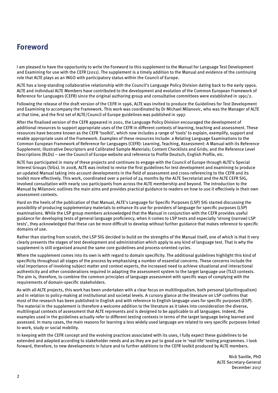# <span id="page-3-0"></span>**Foreword**

I am pleased to have the opportunity to write the Foreword to this supplement to the Manual for Language Test Development and Examining for use with the CEFR (2011). The supplement is a timely addition to the Manual and evidence of the continuing role that ALTE plays as an INGO with participatory status within the Council of Europe.

ALTE has a long-standing collaborative relationship with the Council's Language Policy Division dating back to the early 1990s. ALTE and individual ALTE Members have contributed to the development and evolution of the Common European Framework of Reference for Languages (CEFR) since the original authoring group and consultative committees were established in 1991/2.

Following the release of the draft version of the CEFR in 1996, ALTE was invited to produce the Guidelines for Test Development and Examining to accompany the Framework. This work was coordinated by Dr Michael Milanovic, who was the Manager of ALTE at that time, and the first set of ALTE/Council of Europe guidelines was published in 1997.

After the finalised version of the CEFR appeared in 2001, the Language Policy Division encouraged the development of additional resources to support appropriate uses of the CEFR in different contexts of learning, teaching and assessment. These resources have become known as the CEFR 'toolkit', which now includes a range of 'tools' to explain, exemplify, support and enable appropriate uses of the Framework. Examples of these resources include: a Relating Language Examinations to the Common European Framework of Reference for Languages (CEFR): Learning, Teaching, Assessment: A Manual with its Reference Supplement; Illustrative Descriptors and Calibrated Sample Materials; Content Checklists and Grids; and the Reference Level Descriptions (RLDs) – see the Council of Europe website and reference to Profile Deutsch, English Profile, etc.

ALTE has participated in many of these projects and continues to engage with the Council of Europe through ALTE's Special Interest Groups (SIGs). In 2008, ALTE was invited to revise the first guidelines for test development and examining to produce an updated Manual taking into account developments in the field of assessment and cross-referencing to the CEFR and its toolkit more effectively. This work, coordinated over a period of 24 months by the ALTE Secretariat and the ALTE CEFR SIG, involved consultation with nearly 100 participants from across the ALTE membership and beyond. The introduction to the Manual by Milanovic outlines the main aims and provides practical guidance to readers on how to use it effectively in their own assessment contexts.

Hard on the heels of the publication of that Manual, ALTE's Language for Specific Purposes (LSP) SIG started discussing the possibility of producing supplementary materials to enhance its use for providers of language for specific purposes (LSP) examinations. While the LSP group members acknowledged that the Manual in conjunction with the CEFR provides useful guidance for developing tests of general language proficiency, when it comes to LSP tests and especially 'strong (narrow) LSP tests', they acknowledged that these can be more difficult to develop without further guidance that makes reference to specific domains of use.

Rather than starting from scratch, the LSP SIG decided to build on the strengths of the Manual itself, one of which is that it very clearly presents the stages of test development and administration which apply to any kind of language test. That is why the supplement is still organised around the same core guidelines and process-oriented cycles.

Where the supplement comes into its own is with regard to domain specificity. The additional guidelines highlight this kind of specificity throughout all stages of the process by emphasising a number of essential concerns. These concerns include the vital importance of involving subject matter and context experts, the increased need to achieve situational and interactional authenticity and other considerations required in adapting the assessment system to the target language use (TLU) contexts. The aim is, therefore, to combine the common principles of language assessment with specific ways of complying with the requirements of domain-specific stakeholders.

As with all ALTE projects, this work has been undertaken with a clear focus on multilingualism, both personal (plurilingualism) and in relation to policy-making at institutional and societal levels. A cursory glance at the literature on LSP confirms that most of the research has been published in English and with reference to English language uses for specific purposes (ESP). The material in the supplement is therefore a welcome addition to the literature as it takes into consideration the diverse, multilingual contexts of assessment that ALTE represents and is designed to be applicable to all languages. Indeed, the examples used in the guidelines actually refer to different testing contexts in terms of the target language being learned and assessed. In many cases, the main reasons for learning a less widely used language are related to very specific purposes linked to work, study or social mobility.

In keeping with the CEFR concept and the evolving practices associated with its uses, I fully expect these guidelines to be extended and adapted according to stakeholder needs and as they are put to good use in 'real-life' testing programmes. I look forward, therefore, to new developments in future and to further additions to the CEFR toolkit produced by ALTE members.

> Nick Saville, PhD ALTE Secretary-General December 2017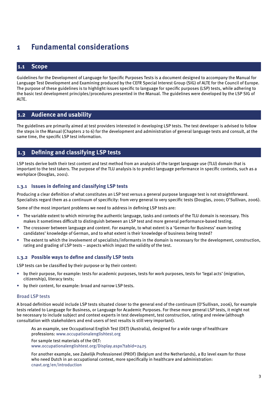# <span id="page-4-0"></span>**1 Fundamental considerations**

# **1.1 Scope**

Guidelines for the Development of Language for Specific Purposes Tests is a document designed to accompany the Manual for Language Test Development and Examining produced by the CEFR Special Interest Group (SIG) of ALTE for the Council of Europe. The purpose of these guidelines is to highlight issues specific to language for specific purposes (LSP) tests, while adhering to the basic test development principles/procedures presented in the Manual. The guidelines were developed by the LSP SIG of ALTE.

## **1.2 Audience and usability**

The guidelines are primarily aimed at test providers interested in developing LSP tests. The test developer is advised to follow the steps in the Manual (Chapters 2 to 6) for the development and administration of general language tests and consult, at the same time, the specific LSP test information.

# **1.3 Defining and classifying LSP tests**

LSP tests derive both their test content and test method from an analysis of the target language use (TLU) domain that is important to the test takers. The purpose of the TLU analysis is to predict language performance in specific contexts, such as a workplace (Douglas, 2001).

#### **1.3.1 Issues in defining and classifying LSP tests**

Producing a clear definition of what constitutes an LSP test versus a general purpose language test is not straightforward. Specialists regard them as a continuum of specificity: from very general to very specific tests (Douglas, 2000; O'Sullivan, 2006).

Some of the most important problems we need to address in defining LSP tests are:

- The variable extent to which mirroring the authentic language, tasks and contexts of the TLU domain is necessary. This makes it sometimes difficult to distinguish between an LSP test and more general performance-based testing.
- The crossover between language and content. For example, to what extent is a 'German for Business' exam testing candidates' knowledge of German, and to what extent is their knowledge of business being tested?
- The extent to which the involvement of specialists/informants in the domain is necessary for the development, construction, rating and grading of LSP tests – aspects which impact the validity of the test.

#### **1.3.2 Possible ways to define and classify LSP tests**

LSP tests can be classified by their purpose or by their content:

- by their purpose, for example: tests for academic purposes, tests for work purposes, tests for 'legal acts' (migration, citizenship), literacy tests;
- by their content, for example: broad and narrow LSP tests.

#### Broad LSP tests

A broad definition would include LSP tests situated closer to the general end of the continuum (O'Sullivan, 2006), for example tests related to Language for Business, or Language for Academic Purposes. For these more general LSP tests, it might not be necessary to include subject and context experts in test development, test construction, rating and review (although consultation with stakeholders and end users of test results is still very important).

As an example, see Occupational English Test (OET) (Australia), designed for a wide range of healthcare professions: [www.occupationalenglishtest.org](http://www.occupationalenglishtest.org)

For sample test materials of the OET: www.occupationalenglishtest.org/Display.aspx?tabid=2425

For another example, see Zakelijk Professioneel (PROF) (Belgium and the Netherlands), a B2 level exam for those who need Dutch in an occupational context, more specifically in healthcare and administration: cnavt.org/en/introduction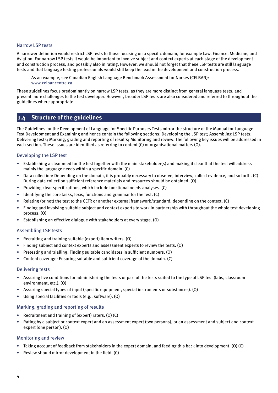#### <span id="page-5-0"></span>Narrow LSP tests

A narrower definition would restrict LSP tests to those focusing on a specific domain, for example Law, Finance, Medicine, and Aviation. For narrow LSP tests it would be important to involve subject and context experts at each stage of the development and construction process, and possibly also in rating. However, we should not forget that these LSP tests are still language tests and that language testing professionals would still keep the lead in the development and construction process.

As an example, see Canadian English Language Benchmark Assessment for Nurses (CELBAN): www.celbancentre.ca

These guidelines focus predominantly on narrow LSP tests, as they are more distinct from general language tests, and present more challenges to the test developer. However, broader LSP tests are also considered and referred to throughout the guidelines where appropriate.

## **1.4 Structure of the guidelines**

The Guidelines for the Development of Language for Specific Purposes Tests mirror the structure of the Manual for Language Test Development and Examining and hence contain the following sections: Developing the LSP test; Assembling LSP tests; Delivering tests; Marking, grading and reporting of results; Monitoring and review. The following key issues will be addressed in each section. These issues are identified as referring to content (C) or organisational matters (O).

#### Developing the LSP test

- Establishing a clear need for the test together with the main stakeholder(s) and making it clear that the test will address mainly the language needs within a specific domain. (C)
- Data collection: Depending on the domain, it is probably necessary to observe, interview, collect evidence, and so forth. (C) During data collection sufficient reference materials and resources should be obtained. (O)
- Providing clear specifications, which include functional needs analyses. (C)
- Identifying the core tasks, lexis, functions and grammar for the test. (C)
- Relating (or not) the test to the CEFR or another external framework/standard, depending on the context. (C)
- Finding and involving suitable subject and context experts to work in partnership with throughout the whole test developing process. (O)
- Establishing an effective dialogue with stakeholders at every stage. (O)

#### Assembling LSP tests

- Recruiting and training suitable (expert) item writers. (O)
- Finding subject and context experts and assessment experts to review the tests. (O)
- Pretesting and trialling: Finding suitable candidates in sufficient numbers. (O)
- Content coverage: Ensuring suitable and sufficient coverage of the domain. (C)

#### Delivering tests

- Assuring live conditions for administering the tests or part of the tests suited to the type of LSP test (labs, classroom environment, etc.). (O)
- Assuring special types of input (specific equipment, special instruments or substances). (O)
- Using special facilities or tools (e.g., software). (O)

#### Marking, grading and reporting of results

- Recruitment and training of (expert) raters. (O) (C)
- Rating by a subject or context expert and an assessment expert (two persons), or an assessment and subject and context expert (one person). (O)

#### Monitoring and review

- Taking account of feedback from stakeholders in the expert domain, and feeding this back into development. (O) (C)
- Review should mirror development in the field. (C)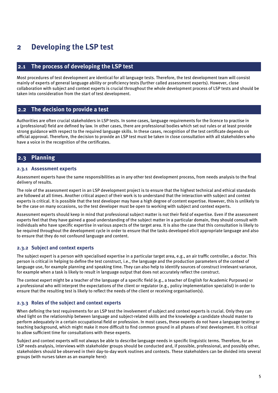# <span id="page-6-0"></span>**2 Developing the LSP test**

# **2.1 The process of developing the LSP test**

Most procedures of test development are identical for all language tests. Therefore, the test development team will consist mainly of experts of general language ability or proficiency tests (further called assessment experts). However, close collaboration with subject and context experts is crucial throughout the whole development process of LSP tests and should be taken into consideration from the start of test development.

## **2.2 The decision to provide a test**

Authorities are often crucial stakeholders in LSP tests. In some cases, language requirements for the licence to practise in a (professional) field are defined by law. In other cases, there are professional bodies which set out rules or at least provide strong guidance with respect to the required language skills. In these cases, recognition of the test certificate depends on official approval. Therefore, the decision to provide an LSP test must be taken in close consultation with all stakeholders who have a voice in the recognition of the certificates.

# **2.3 Planning**

#### **2.3.1 Assessment experts**

Assessment experts have the same responsibilities as in any other test development process, from needs analysis to the final delivery of results.

The role of the assessment expert in an LSP development project is to ensure that the highest technical and ethical standards are followed at all times. Another critical aspect of their work is to understand that the interaction with subject and context experts is critical. It is possible that the test developer may have a high degree of content expertise. However, this is unlikely to be the case on many occasions, so the test developer must be open to working with subject and context experts.

Assessment experts should keep in mind that professional subject matter is not their field of expertise. Even if the assessment experts feel that they have gained a good understanding of the subject matter in a particular domain, they should consult with individuals who have specific expertise in various aspects of the target area. It is also the case that this consultation is likely to be required throughout the development cycle in order to ensure that the tasks developed elicit appropriate language and also to ensure that they do not confound language and content.

#### **2.3.2 Subject and context experts**

The subject expert is a person with specialised expertise in a particular target area, e.g., an air traffic controller, a doctor. This person is critical in helping to define the test construct, i.e., the language and the production parameters of the context of language use, for example planning and speaking time. They can also help to identify sources of construct irrelevant variance, for example when a task is likely to result in language output that does not accurately reflect the construct.

The context expert might be a teacher of the language of a specific field (e.g., a teacher of English for Academic Purposes) or a professional who will interpret the expectations of the client or regulator (e.g., policy implementation specialist) in order to ensure that the resulting test is likely to reflect the needs of the client or receiving organisation(s).

#### **2.3.3 Roles of the subject and context experts**

When defining the test requirements for an LSP test the involvement of subject and context experts is crucial. Only they can shed light on the relationship between language and subject-related skills and the knowledge a candidate should master to perform adequately in a certain occupational field or profession. In most cases, these experts do not have a language testing or teaching background, which might make it more difficult to find common ground in all phases of test development. It is critical to allow sufficient time for consultations with these experts.

Subject and context experts will not always be able to describe language needs in specific linguistic terms. Therefore, for an LSP needs analysis, interviews with stakeholder groups should be conducted and, if possible, professional, and possibly other, stakeholders should be observed in their day-to-day work routines and contexts. These stakeholders can be divided into several groups (with nurses taken as an example here):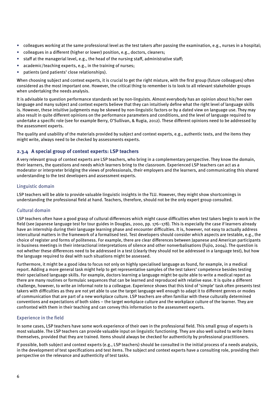- <span id="page-7-0"></span>• colleagues working at the same professional level as the test takers after passing the examination, e.g., nurses in a hospital;
- colleagues in a different (higher or lower) position, e.g., doctors, cleaners;
- staff at the managerial level, e.g., the head of the nursing staff, administrative staff;
- academic/teaching experts, e.g., in the training of nurses;
- patients (and patients' close relationships).

When choosing subject and context experts, it is crucial to get the right mixture, with the first group (future colleagues) often considered as the most important one. However, the critical thing to remember is to look to all relevant stakeholder groups when undertaking the needs analysis.

It is advisable to question performance standards set by non-linguists. Almost everybody has an opinion about his/her own language and many subject and context experts believe that they can intuitively define what the right level of language skills is. However, these intuitive judgments may be skewed by non-linguistic factors or by a dated view on language use. They may also result in quite different opinions on the performance parameters and conditions, and the level of language required to undertake a specific role (see for example Berry, O'Sullivan, & Rugia, 2012). These different opinions need to be addressed by the assessment experts.

The quality and usability of the materials provided by subject and context experts, e.g., authentic texts, and the items they might write, always need to be checked by assessments experts.

#### **2.3.4 A special group of context experts: LSP teachers**

A very relevant group of context experts are LSP teachers, who bring in a complementary perspective. They know the domain, their learners, the questions and needs which learners bring to the classroom. Experienced LSP teachers can act as a moderator or interpreter bridging the views of professionals, their employers and the learners, and communicating this shared understanding to the test developers and assessment experts.

#### Linguistic domain

LSP teachers will be able to provide valuable linguistic insights in the TLU. However, they might show shortcomings in understanding the professional field at hand. Teachers, therefore, should not be the only expert group consulted.

#### Cultural domain

LSP teachers often have a good grasp of cultural differences which might cause difficulties when test takers begin to work in the field (see Japanese language test for tour guides in Douglas, 2000, pp. 176–178). This is especially the case if learners already have an internship during their language learning phase and encounter difficulties. It is, however, not easy to actually address intercultural matters in the framework of a formalised test. Test developers should consider which aspects are testable, e.g., the choice of register and forms of politeness. For example, there are clear differences between Japanese and American participants in business meetings in their interactional interpretations of silence and other nonverbalisations (Fujio, 2004). The question is not whether these differences need to be addressed in a test (clearly they should not be addressed in a language test), but how the language required to deal with such situations might be assessed.

Furthermore, it might be a good idea to focus not only on highly specialised language as found, for example, in a medical report. Adding a more general task might help to get representative samples of the test takers' competence besides testing their specialised language skills. For example, doctors learning a language might be quite able to write a medical report as there are many routines or formulaic sequences that can be learned and reproduced with relative ease. It is quite a different challenge, however, to write an informal note to a colleague. Experience shows that this kind of 'simple' task often presents test takers with difficulties as they are not yet able to use the target language well enough to adapt it to different genres or modes of communication that are part of a new workplace culture. LSP teachers are often familiar with these culturally determined conventions and expectations of both sides – the target workplace culture and the workplace culture of the learner. They are confronted with them in their teaching and can convey this information to the assessment experts.

#### Experience in the field

In some cases, LSP teachers have some work experience of their own in the professional field. This small group of experts is most valuable. The LSP teachers can provide valuable input on linguistic functioning. They are also well suited to write items themselves, provided that they are trained. Items should always be checked for authenticity by professional practitioners.

If possible, both subject and context experts (e.g., LSP teachers) should be consulted in the initial process of a needs analysis, in the development of test specifications and test items. The subject and context experts have a consulting role, providing their perspective on the relevance and authenticity of test tasks.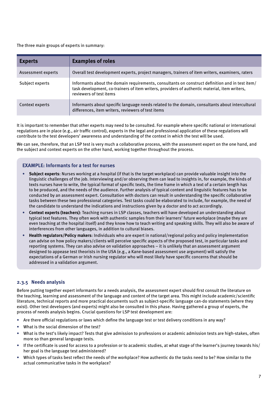<span id="page-8-0"></span>The three main groups of experts in summary:

| <b>Experts</b>     | <b>Examples of roles</b>                                                                                                                                                                                                    |
|--------------------|-----------------------------------------------------------------------------------------------------------------------------------------------------------------------------------------------------------------------------|
| Assessment experts | Overall test development experts, project managers, trainers of item writers, examiners, raters                                                                                                                             |
| Subject experts    | Informants about the domain requirements, consultants on construct definition and in test item/<br>task development, co-trainers of item writers, providers of authentic material, item writers,<br>reviewers of test items |
| Context experts    | Informants about specific language needs related to the domain, consultants about intercultural<br>differences, item writers, reviewers of test items                                                                       |

It is important to remember that other experts may need to be consulted. For example where specific national or international regulations are in place (e.g., air traffic control), experts in the legal and professional application of these regulations will contribute to the test developers' awareness and understanding of the context in which the test will be used.

We can see, therefore, that an LSP test is very much a collaborative process, with the assessment expert on the one hand, and the subject and context experts on the other hand, working together throughout the process.

#### **EXAMPLE: Informants for a test for nurses**

- **Subject experts**: Nurses working at a hospital (if that is the target workplace) can provide valuable insight into the linguistic challenges of the job. Interviewing and/or observing them can lead to insights in, for example, the kinds of texts nurses have to write, the typical format of specific texts, the time frame in which a text of a certain length has to be produced, and the needs of the audience. Further analysis of typical content and linguistic features has to be conducted by an assessment expert. Consultation with doctors can result in understanding the specific collaborative tasks between these two professional categories. Test tasks could be elaborated to include, for example, the need of the candidate to understand the indications and instructions given by a doctor and to act accordingly.
- **Context experts (teachers)**: Teaching nurses in LSP classes, teachers will have developed an understanding about typical text features. They often work with authentic samples from their learners' future workplace (maybe they are even teaching at the hospital itself) and they know how to teach writing and speaking skills. They will also be aware of interferences from other languages, in addition to cultural biases.
- **Health regulators/Policy makers**: Individuals who are expert in national/regional policy and policy implementation can advise on how policy makers/clients will perceive specific aspects of the proposed test, in particular tasks and reporting systems. They can also advise on validation approaches – it is unlikely that an assessment argument designed to appease test theorists in the USA (e.g., a Kane-based assessment use argument) will satisfy the expectations of a German or Irish nursing regulator who will most likely have specific concerns that should be addressed in a validation argument.

#### **2.3.5 Needs analysis**

Before putting together expert informants for a needs analysis, the assessment expert should first consult the literature on the teaching, learning and assessment of the language and content of the target area. This might include academic/scientific literature, technical reports and more practical documents such as subject-specific language can-do statements (where they exist). Other test developers (and experts) might also be consulted in this phase. Having gathered a group of experts, the process of needs analysis begins. Crucial questions for LSP test development are:

- Are there official regulations or laws which define the language test or test delivery conditions in any way?
- What is the social dimension of the test?
- What is the test's likely impact? Tests that give admission to professions or academic admission tests are high-stakes, often more so than general language tests.
- If the certificate is used for access to a profession or to academic studies, at what stage of the learner's journey towards his/ her goal is the language test administered?
- Which types of tasks best reflect the needs of the workplace? How authentic do the tasks need to be? How similar to the actual communicative tasks in the workplace?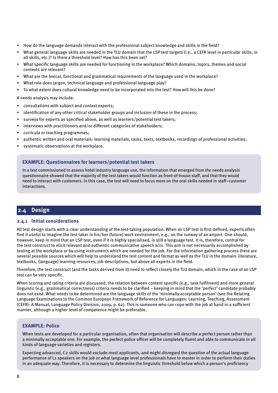- <span id="page-9-0"></span>• How do the language demands interact with the professional subject knowledge and skills in the field?
- What general language skills are needed in the TLU domain that the LSP test targets (i.e., a CEFR level in particular skills, in all skills, etc.)? Is there a threshold level? How has this been set?
- What specific language skills are needed for functioning in the workplace? Which domains, topics, themes and social contexts are relevant?
- What are the lexical, functional and grammatical requirements of the language used in the workplace?
- What role does jargon, technical language and professional language play?
- To what extent does cultural knowledge need to be incorporated into the test? How will this be done?

A needs analysis may include:

- consultations with subject and context experts;
- identification of any other critical stakeholder groups and inclusion of these in the process;
- surveys for experts as specified above, as well as learners/potential test takers;
- interviews with practitioners and/or different categories of stakeholders;
- curricula or teaching programmes;
- authentic written and oral materials: learning materials, tasks, texts, textbooks, recordings of professional activities;
- systematic observations at the workplace.

#### **EXAMPLE: Questionnaires for learners/potential test takers**

In a test commissioned to assess hotel industry language use, the information that emerged from the needs analysis questionnaire showed that the majority of the test takers would function as front-of-house staff, and that they would need to interact with customers. In this case, the test will need to focus more on the oral skills needed in staff–customer interactions.

## **2.4 Design**

#### **2.4.1 Initial considerations**

All test design starts with a clear understanding of the test-taking population. When an LSP test is first defined, experts often find it useful to imagine the test taker in his/her (future) work environment, e.g., on the runway of an airport. One should, however, keep in mind that an LSP test, even if it is highly specialised, is still a language test. It is, therefore, central for the test construct to elicit relevant and authentic communicative speech acts. This aim is not necessarily accomplished by testing at the workplace or by using instruments which are needed for the job. For the information gathering process there are several possible sources which will help to understand the test content and format as well as the TLU in the domain: literature, textbooks, (language) learning resources, job descriptions, but above all experts in the field.

Therefore, the test construct (and the tasks derived from it) need to reflect closely the TLU domain, which in the case of an LSP test can be very specific.

When scoring and rating criteria are discussed, the relation between content specific (e.g., task fulfilment) and more general linguistic (e.g., grammatical correctness) criteria needs to be clarified – keeping in mind that the 'perfect' candidate probably does not exist. What needs to be determined are the language skills of the 'minimally acceptable person' (see the Relating Language Examinations to the Common European Framework of Reference for Languages: Learning, Teaching, Assessment (CEFR): A Manual, Language Policy Division, 2009, p. 62). This is someone who can cope with the job at hand in a sufficient manner, although a higher level of competence might be preferable.

#### **EXAMPLE: Police**

When tests are developed for a particular organisation, often that organisation will describe a perfect person rather than a minimally acceptable one. For example, the perfect police officer will be completely fluent and able to communicate in all kinds of language varieties and registers.

Expecting advanced, C2 skills would exclude most applicants, and might disregard the question of the actual language performance of L1 speakers on the job or what language level professionals have to master in order to perform their duties in an adequate way. Therefore, it is necessary to determine the linguistic threshold below which a person's proficiency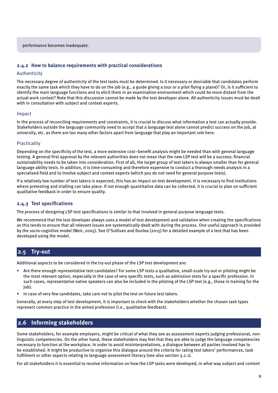#### <span id="page-10-0"></span>**2.4.2 How to balance requirements with practical considerations**

#### Authenticity

The necessary degree of authenticity of the test tasks must be determined. Is it necessary or desirable that candidates perform exactly the same task which they have to do on the job (e.g., a guide giving a tour or a pilot flying a plane)? Or, is it sufficient to identify the main language functions and to elicit them in an examination environment which could be more distant from the actual work context? Note that this discussion cannot be made by the test developer alone. All authenticity issues must be dealt with in consultation with subject and context experts.

#### Impact

In the process of reconciling requirements and constraints, it is crucial to discuss what information a test can actually provide. Stakeholders outside the language community need to accept that a language test alone cannot predict success on the job, at university, etc. as there are too many other factors apart from language that play an important role here.

#### Practicality

Depending on the specificity of the test, a more extensive cost–benefit analysis might be needed than with general language testing. A general first approval by the relevant authorities does not mean that the new LSP test will be a success; financial sustainability needs to be taken into consideration. First of all, the target group of test takers is always smaller than for general language ability tests. In addition, it is time-consuming and therefore expensive to conduct a thorough needs analysis in a specialised field and to involve subject and context experts (which you do not need for general purpose tests).

If a relatively low number of test takers is expected, this has an impact on test development. It is necessary to find institutions where pretesting and trialling can take place. If not enough quantitative data can be collected, it is crucial to plan on sufficient qualitative feedback in order to ensure quality.

#### **2.4.3 Test specifications**

The process of designing LSP test specifications is similar to that involved in general purpose language tests.

We recommend that the test developer always uses a model of test development and validation when creating the specifications as this tends to ensure that all relevant issues are systematically dealt with during the process. One useful approach is provided by the socio-cognitive model (Weir, 2005). See O'Sullivan and Dunlea (2015) for a detailed example of a test that has been developed using the model.

#### **2.5 Try-out**

Additional aspects to be considered in the try-out phase of the LSP test development are:

- Are there enough representative test candidates? For some LSP tests a qualitative, small-scale try-out or piloting might be the most relevant option, especially in the case of very specific tests, such as admission tests for a specific profession. In such cases, representative native speakers can also be included in the piloting of the LSP test (e.g., those in training for the job).
- In case of very few candidates, take care not to pilot the test on future test takers.

Generally, at every step of test development, it is important to check with the stakeholders whether the chosen task types represent common practice in the aimed profession (i.e., qualitative feedback).

#### **2.6 Informing stakeholders**

Some stakeholders, for example employers, might be critical of what they see as assessment experts judging professional, nonlinguistic competencies. On the other hand, these stakeholders may feel that they are able to judge the language competencies necessary to function at the workplace. In order to avoid misinterpretations, a dialogue between all parties involved has to be established. It might be productive to organise this dialogue around the criteria for rating test takers' performances, task fulfilment or other aspects relating to language assessment literacy (see also section 3.2.1).

For all stakeholders it is essential to receive information on how the LSP tasks were developed, in what way subject and content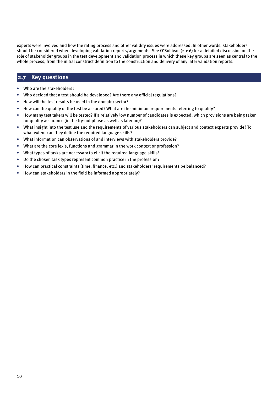<span id="page-11-0"></span>experts were involved and how the rating process and other validity issues were addressed. In other words, stakeholders should be considered when developing validation reports/arguments. See O'Sullivan (2016) for a detailed discussion on the role of stakeholder groups in the test development and validation process in which these key groups are seen as central to the whole process, from the initial construct definition to the construction and delivery of any later validation reports.

# **2.7 Key questions**

- Who are the stakeholders?
- Who decided that a test should be developed? Are there any official regulations?
- How will the test results be used in the domain/sector?
- How can the quality of the test be assured? What are the minimum requirements referring to quality?
- How many test takers will be tested? If a relatively low number of candidates is expected, which provisions are being taken for quality assurance (in the try-out phase as well as later on)?
- What insight into the test use and the requirements of various stakeholders can subject and context experts provide? To what extent can they define the required language skills?
- What information can observations of and interviews with stakeholders provide?
- What are the core lexis, functions and grammar in the work context or profession?
- What types of tasks are necessary to elicit the required language skills?
- Do the chosen task types represent common practice in the profession?
- How can practical constraints (time, finance, etc.) and stakeholders' requirements be balanced?
- How can stakeholders in the field be informed appropriately?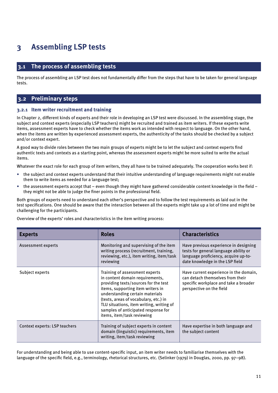# <span id="page-12-0"></span>**3 Assembling LSP tests**

## **3.1 The process of assembling tests**

The process of assembling an LSP test does not fundamentally differ from the steps that have to be taken for general language tests.

#### **3.2 Preliminary steps**

#### **3.2.1 Item writer recruitment and training**

In Chapter 2, different kinds of experts and their role in developing an LSP test were discussed. In the assembling stage, the subject and context experts (especially LSP teachers) might be recruited and trained as item writers. If these experts write items, assessment experts have to check whether the items work as intended with respect to language. On the other hand, when the items are written by experienced assessment experts, the authenticity of the tasks should be checked by a subject and/or context expert.

A good way to divide roles between the two main groups of experts might be to let the subject and context experts find authentic texts and contexts as a starting point, whereas the assessment experts might be more suited to write the actual items.

Whatever the exact role for each group of item writers, they all have to be trained adequately. The cooperation works best if:

- the subject and context experts understand that their intuitive understanding of language requirements might not enable them to write items as needed for a language test;
- the assessment experts accept that even though they might have gathered considerable content knowledge in the field they might not be able to judge the finer points in the professional field.

Both groups of experts need to understand each other's perspective and to follow the test requirements as laid out in the test specifications. One should be aware that the interaction between all the experts might take up a lot of time and might be challenging for the participants.

Overview of the experts' roles and characteristics in the item writing process:

| <b>Experts</b>                | <b>Roles</b>                                                                                                                                                                                                                                                                                                                                | <b>Characteristics</b>                                                                                                                                    |
|-------------------------------|---------------------------------------------------------------------------------------------------------------------------------------------------------------------------------------------------------------------------------------------------------------------------------------------------------------------------------------------|-----------------------------------------------------------------------------------------------------------------------------------------------------------|
| Assessment experts            | Monitoring and supervising of the item<br>writing process (recruitment, training,<br>reviewing, etc.), item writing, item/task<br>reviewing                                                                                                                                                                                                 | Have previous experience in designing<br>tests for general language ability or<br>language proficiency, acquire up-to-<br>date knowledge in the LSP field |
| Subject experts               | Training of assessment experts<br>in content domain requirements,<br>providing texts/sources for the test<br>items, supporting item writers in<br>understanding certain materials<br>(texts, areas of vocabulary, etc.) in<br>TLU situations, item writing, writing of<br>samples of anticipated response for<br>items, item/task reviewing | Have current experience in the domain,<br>can detach themselves from their<br>specific workplace and take a broader<br>perspective on the field           |
| Context experts: LSP teachers | Training of subject experts in content<br>domain (linguistic) requirements, item<br>writing, item/task reviewing                                                                                                                                                                                                                            | Have expertise in both language and<br>the subject content                                                                                                |

For understanding and being able to use content-specific input, an item writer needs to familiarise themselves with the language of the specific field, e.g., terminology, rhetorical structures, etc. (Selinker (1979) in Douglas, 2000, pp. 97–98).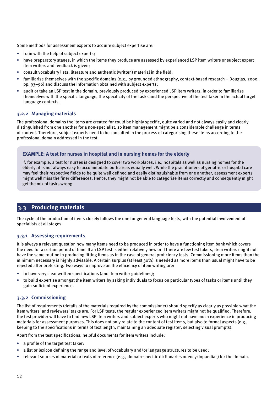<span id="page-13-0"></span>Some methods for assessment experts to acquire subject expertise are:

- train with the help of subject experts;
- have preparatory stages, in which the items they produce are assessed by experienced LSP item writers or subject expert item writers and feedback is given;
- consult vocabulary lists, literature and authentic (written) material in the field;
- familiarise themselves with the specific domains (e.g., by grounded ethnography, context-based research Douglas, 2000, pp. 93–96) and discuss the information obtained with subject experts;
- audit or take an LSP test in the domain, previously produced by experienced LSP item writers, in order to familiarise themselves with the specific language, the specificity of the tasks and the perspective of the test taker in the actual target language contexts.

#### **3.2.2 Managing materials**

The professional domains the items are created for could be highly specific, quite varied and not always easily and clearly distinguished from one another for a non-specialist, so item management might be a considerable challenge in terms of content. Therefore, subject experts need to be consulted in the process of categorising these items according to the professional domain addressed in the test.

#### **EXAMPLE: A test for nurses in hospital and in nursing homes for the elderly**

If, for example, a test for nurses is designed to cover two workplaces, i.e., hospitals as well as nursing homes for the elderly, it is not always easy to accommodate both areas equally well. While the practitioners of geriatric or hospital care may feel their respective fields to be quite well defined and easily distinguishable from one another, assessment experts might well miss the finer differences. Hence, they might not be able to categorise items correctly and consequently might get the mix of tasks wrong.

## **3.3 Producing materials**

The cycle of the production of items closely follows the one for general language tests, with the potential involvement of specialists at all stages.

#### **3.3.1 Assessing requirements**

It is always a relevant question how many items need to be produced in order to have a functioning item bank which covers the need for a certain period of time. If an LSP test is either relatively new or if there are few test takers, item writers might not have the same routine in producing fitting items as in the case of general proficiency tests. Commissioning more items than the minimum necessary is highly advisable. A certain surplus (at least 30%) is needed as more items than usual might have to be rejected after pretesting. Two ways to improve on the efficiency of item writing are:

- to have very clear written specifications (and item writer guidelines);
- to build expertise amongst the item writers by asking individuals to focus on particular types of tasks or items until they gain sufficient experience.

#### **3.3.2 Commissioning**

The list of requirements (details of the materials required by the commissioner) should specify as clearly as possible what the item writers' and reviewers' tasks are. For LSP tests, the regular experienced item writers might not be qualified. Therefore, the test provider will have to find new LSP item writers and subject experts who might not have much experience in producing materials for assessment purposes. This does not only relate to the content of test items, but also to formal aspects (e.g., keeping to the specifications in terms of text length, maintaining an adequate register, selecting visual prompts).

Apart from the test specifications, helpful documents for item writers include:

- a profile of the target test taker;
- a list or lexicon defining the range and level of vocabulary and/or language structures to be used;
- relevant sources of material or texts of reference (e.g., domain-specific dictionaries or encyclopaedias) for the domain.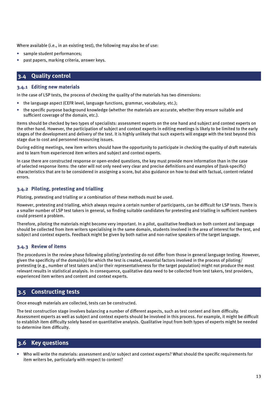<span id="page-14-0"></span>Where available (i.e., in an existing test), the following may also be of use:

- sample student performances;
- past papers, marking criteria, answer keys.

# **3.4 Quality control**

#### **3.4.1 Editing new materials**

In the case of LSP tests, the process of checking the quality of the materials has two dimensions:

- the language aspect (CEFR level, language functions, grammar, vocabulary, etc.);
- the specific purpose background knowledge (whether the materials are accurate, whether they ensure suitable and sufficient coverage of the domain, etc.).

Items should be checked by two types of specialists: assessment experts on the one hand and subject and context experts on the other hand. However, the participation of subject and context experts in editing meetings is likely to be limited to the early stages of the development and delivery of the test. It is highly unlikely that such experts will engage with the test beyond this stage due to cost and personnel resourcing issues.

During editing meetings, new item writers should have the opportunity to participate in checking the quality of draft materials and to learn from experienced item writers and subject and context experts.

In case there are constructed response or open-ended questions, the key must provide more information than in the case of selected response items: the rater will not only need very clear and precise definitions and examples of (task-specific) characteristics that are to be considered in assigning a score, but also guidance on how to deal with factual, content-related errors.

#### **3.4.2 Piloting, pretesting and trialling**

Piloting, pretesting and trialling or a combination of these methods must be used.

However, pretesting and trialling, which always require a certain number of participants, can be difficult for LSP tests. There is a smaller number of LSP test takers in general, so finding suitable candidates for pretesting and trialling in sufficient numbers could present a problem.

Therefore, piloting the materials might become very important. In a pilot, qualitative feedback on both content and language should be collected from item writers specialising in the same domain, students involved in the area of interest for the test, and subject and context experts. Feedback might be given by both native and non-native speakers of the target language.

## **3.4.3 Review of items**

The procedures in the review phase following piloting/pretesting do not differ from those in general language testing. However, given the specificity of the domain(s) for which the test is created, essential factors involved in the process of piloting/ pretesting (e.g., number of test takers and/or their representativeness for the target population) might not produce the most relevant results in statistical analysis. In consequence, qualitative data need to be collected from test takers, test providers, experienced item writers and content and context experts.

# **3.5 Constructing tests**

Once enough materials are collected, tests can be constructed.

The test construction stage involves balancing a number of different aspects, such as test content and item difficulty. Assessment experts as well as subject and context experts should be involved in this process. For example, it might be difficult to establish item difficulty solely based on quantitative analysis. Qualitative input from both types of experts might be needed to determine item difficulty.

# **3.6 Key questions**

• Who will write the materials: assessment and/or subject and context experts? What should the specific requirements for item writers be, particularly with respect to content?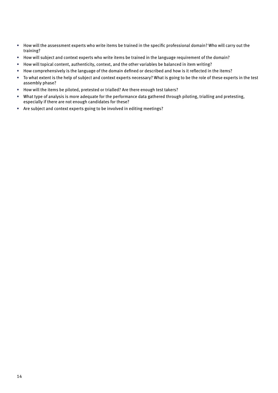- How will the assessment experts who write items be trained in the specific professional domain? Who will carry out the training?
- How will subject and context experts who write items be trained in the language requirement of the domain?
- How will topical content, authenticity, context, and the other variables be balanced in item writing?
- How comprehensively is the language of the domain defined or described and how is it reflected in the items?
- To what extent is the help of subject and context experts necessary? What is going to be the role of these experts in the test assembly phase?
- How will the items be piloted, pretested or trialled? Are there enough test takers?
- What type of analysis is more adequate for the performance data gathered through piloting, trialling and pretesting, especially if there are not enough candidates for these?
- Are subject and context experts going to be involved in editing meetings?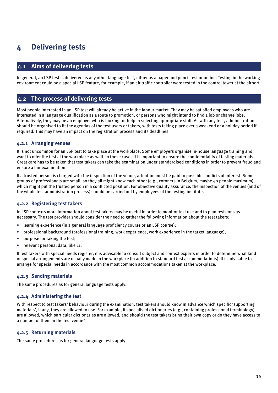# <span id="page-16-0"></span>**4 Delivering tests**

# **4.1 Aims of delivering tests**

In general, an LSP test is delivered as any other language test, either as a paper and pencil test or online. Testing in the working environment could be a special LSP feature, for example, if an air traffic controller were tested in the control tower at the airport.

## **4.2 The process of delivering tests**

Most people interested in an LSP test will already be active in the labour market. They may be satisfied employees who are interested in a language qualification as a route to promotion, or persons who might intend to find a job or change jobs. Alternatively, they may be an employer who is looking for help in selecting appropriate staff. As with any test, administration should be organised to fit the agendas of the test users or takers, with tests taking place over a weekend or a holiday period if required. This may have an impact on the registration process and its deadlines.

#### **4.2.1 Arranging venues**

It is not uncommon for an LSP test to take place at the workplace. Some employers organise in-house language training and want to offer the test at the workplace as well. In these cases it is important to ensure the confidentiality of testing materials. Great care has to be taken that test takers can take the examination under standardised conditions in order to prevent fraud and ensure a fair examination.

If a trusted person is charged with the inspection of the venue, attention must be paid to possible conflicts of interest. Some groups of professionals are small, so they all might know each other (e.g., coroners in Belgium, maybe 40 people maximum), which might put the trusted person in a conflicted position. For objective quality assurance, the inspection of the venues (and of the whole test administration process) should be carried out by employees of the testing institute.

#### **4.2.2 Registering test takers**

In LSP contexts more information about test takers may be useful in order to monitor test use and to plan revisions as necessary. The test provider should consider the need to gather the following information about the test takers:

- learning experience (in a general language proficiency course or an LSP course);
- professional background (professional training, work experience, work experience in the target language);
- purpose for taking the test;
- relevant personal data, like L1.

If test takers with special needs register, it is advisable to consult subject and context experts in order to determine what kind of special arrangements are usually made in the workplace (in addition to standard test accommodations). It is advisable to arrange for special needs in accordance with the most common accommodations taken at the workplace.

#### **4.2.3 Sending materials**

The same procedures as for general language tests apply.

#### **4.2.4 Administering the test**

With respect to test takers' behaviour during the examination, test takers should know in advance which specific 'supporting materials', if any, they are allowed to use. For example, if specialised dictionaries (e.g., containing professional terminology) are allowed, which particular dictionaries are allowed, and should the test takers bring their own copy or do they have access to a number of them in the test venue?

#### **4.2.5 Returning materials**

The same procedures as for general language tests apply.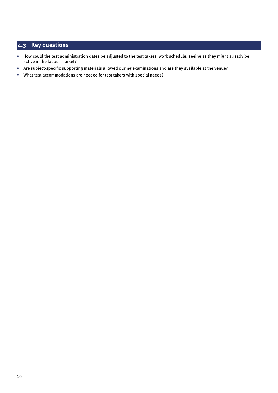# <span id="page-17-0"></span>**4.3 Key questions**

- How could the test administration dates be adjusted to the test takers' work schedule, seeing as they might already be active in the labour market?
- Are subject-specific supporting materials allowed during examinations and are they available at the venue?
- What test accommodations are needed for test takers with special needs?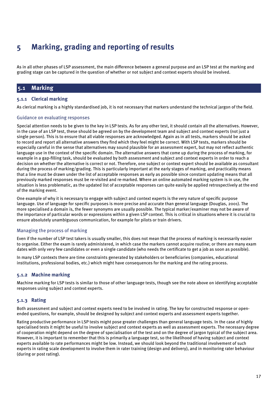# <span id="page-18-0"></span>**5 Marking, grading and reporting of results**

As in all other phases of LSP assessment, the main difference between a general purpose and an LSP test at the marking and grading stage can be captured in the question of whether or not subject and context experts should be involved.

# **5.1 Marking**

#### **5.1.1 Clerical marking**

As clerical marking is a highly standardised job, it is not necessary that markers understand the technical jargon of the field.

#### Guidance on evaluating responses

Special attention needs to be given to the key in LSP tests. As for any other test, it should contain all the alternatives. However, in the case of an LSP test, these should be agreed on by the development team and subject and context experts (not just a single person). This is to ensure that all viable responses are acknowledged. Again as in all tests, markers should be asked to record and report all alternative answers they find which they feel might be correct. With LSP tests, markers should be especially careful in the sense that alternatives may sound plausible for an assessment expert, but may not reflect authentic language use in the context of the specific domain. The alternative answers that come up during the process of marking, for example in a gap-filling task, should be evaluated by both assessment and subject and context experts in order to reach a decision on whether the alternative is correct or not. Therefore, one subject or context expert should be available as consultant during the process of marking/grading. This is particularly important at the early stages of marking, and practicality means that a line must be drawn under the list of acceptable responses as early as possible since constant updating means that all previously marked responses must be re-visited and re-marked. Where an online automated marking system is in use, the situation is less problematic, as the updated list of acceptable responses can quite easily be applied retrospectively at the end of the marking event.

One example of why it is necessary to engage with subject and context experts is the very nature of specific purpose language. Use of language for specific purposes is more precise and accurate than general language (Douglas, 2001). The more specialised a domain is, the fewer synonyms are usually possible. The typical marker/examiner may not be aware of the importance of particular words or expressions within a given LSP context. This is critical in situations where it is crucial to ensure absolutely unambiguous communication, for example for pilots or train drivers.

#### Managing the process of marking

Even if the number of LSP test takers is usually smaller, this does not mean that the process of marking is necessarily easier to organise. Either the exam is rarely administered, in which case the markers cannot acquire routine; or there are many exam dates with only very few candidates or even a single candidate (who needs the certificate to get a job as soon as possible).

In many LSP contexts there are time constraints generated by stakeholders or beneficiaries (companies, educational institutions, professional bodies, etc.) which might have consequences for the marking and the rating process.

#### **5.1.2 Machine marking**

Machine marking for LSP tests is similar to those of other language tests, though see the note above on identifying acceptable responses using subject and context experts.

#### **5.1.3 Rating**

Both assessment and subject and context experts need to be involved in rating. The key for constructed response or openended questions, for example, should be designed by subject and context experts and assessment experts together.

Rating productive performance in LSP tests might pose greater challenges than general language tests. In the case of highly specialised tests it might be useful to involve subject and context experts as well as assessment experts. The necessary degree of cooperation might depend on the degree of specialisation of the test and on the degree of jargon typical of the subject area. However, it is important to remember that this is primarily a language test, so the likelihood of having subject and context experts available to rate performances might be low. Instead, we should look beyond the traditional involvement of such experts in rating scale development to involve them in rater training (design and delivery), and in monitoring rater behaviour (during or post rating).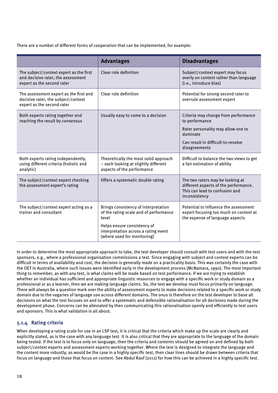<span id="page-19-0"></span>There are a number of different forms of cooperation that can be implemented, for example:

|                                                                                                             | <b>Advantages</b>                                                                                           | <b>Disadvantages</b>                                                                                                         |
|-------------------------------------------------------------------------------------------------------------|-------------------------------------------------------------------------------------------------------------|------------------------------------------------------------------------------------------------------------------------------|
| The subject/context expert as the first<br>and decisive rater, the assessment<br>expert as the second rater | Clear role definition                                                                                       | Subject/context expert may focus<br>overly on content rather than language<br>(i.e., introduce bias)                         |
| The assessment expert as the first and<br>decisive rater, the subject/context<br>expert as the second rater | Clear role definition                                                                                       | Potential for strong second rater to<br>overrule assessment expert                                                           |
| Both experts rating together and<br>reaching the result by consensus                                        | Usually easy to come to a decision                                                                          | Criteria may change from performance<br>to performance                                                                       |
|                                                                                                             |                                                                                                             | Rater personality may allow one to<br>dominate                                                                               |
|                                                                                                             |                                                                                                             | Can result in difficult-to-resolve<br>disagreements                                                                          |
| Both experts rating independently,<br>using different criteria (holistic and<br>analytic)                   | Theoretically the most solid approach<br>- each looking at slightly different<br>aspects of the performance | Difficult to balance the two views to get<br>a fair estimation of ability                                                    |
| The subject/context expert checking<br>the assessment expert's rating                                       | Offers a systematic double rating                                                                           | The two raters may be looking at<br>different aspects of the performance.<br>This can lead to confusion and<br>inconsistency |
| The subject/context expert acting as a<br>trainer and consultant                                            | Brings consistency of interpretation<br>of the rating scale and of performance<br>level                     | Potential to influence the assessment<br>expert focusing too much on content at<br>the expense of language aspects           |
|                                                                                                             | Helps ensure consistency of<br>interpretation across a rating event<br>(where used for monitoring)          |                                                                                                                              |

In order to determine the most appropriate approach to take, the test developer should consult with test users and with the test sponsors, e.g., where a professional organisation commissions a test. Since engaging with subject and context experts can be difficult in terms of availability and cost, the decision is generally made on a practicality basis. This was certainly the case with the OET in Australia, where such issues were identified early in the development process (McNamara, 1990). The most important thing to remember, as with any test, is what claims will be made based on test performance. If we are trying to establish whether an individual has sufficient and appropriate linguistic resources to engage with a specific work or study domain as a professional or as a learner, then we are making language claims. So, the test we develop must focus primarily on language. There will always be a question mark over the ability of assessment experts to make decisions related to a specific work or study domain due to the vagaries of language use across different domains. The onus is therefore on the test developer to base all decisions on what the test focuses on and to offer a systematic and defensible rationalisation for all decisions made during the development phase. Concerns can be alleviated by then communicating this rationalisation openly and efficiently to test users and sponsors. This is what validation is all about.

#### **5.1.4 Rating criteria**

When developing a rating scale for use in an LSP test, it is critical that the criteria which make up the scale are clearly and explicitly stated, as is the case with any language test. It is also critical that they are appropriate to the language of the domain being tested. If the test is to focus only on language, then the criteria and contents should be agreed on and defined by both subject/context experts and assessment experts working together. Where the test is designed to integrate the language and the content more robustly, as would be the case in a highly specific test, then clear lines should be drawn between criteria that focus on language and those that focus on content. See Abdul Raof (2011) for how this can be achieved in a highly specific test.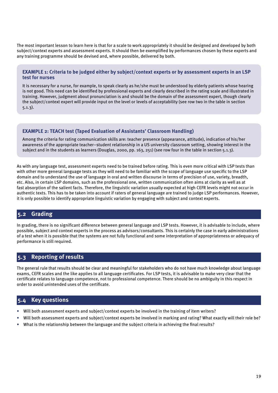<span id="page-20-0"></span>The most important lesson to learn here is that for a scale to work appropriately it should be designed and developed by both subject/context experts and assessment experts. It should then be exemplified by performances chosen by these experts and any training programme should be devised and, where possible, delivered by both.

#### **EXAMPLE 1: Criteria to be judged either by subject/context experts or by assessment experts in an LSP test for nurses**

It is necessary for a nurse, for example, to speak clearly as he/she must be understood by elderly patients whose hearing is not good. This need can be identified by professional experts and clearly described in the rating scale and illustrated in training. However, judgment about pronunciation is and should be the domain of the assessment expert, though clearly the subject/context expert will provide input on the level or levels of acceptability (see row two in the table in section 5.1.3).

#### **EXAMPLE 2: TEACH test (Taped Evaluation of Assistants' Classroom Handling)**

Among the criteria for rating communication skills are: teacher presence (appearance, attitude), indication of his/her awareness of the appropriate teacher–student relationship in a US university classroom setting, showing interest in the subject and in the students as learners (Douglas, 2000, pp. 163, 251) (see row four in the table in section 5.1.3).

As with any language test, assessment experts need to be trained before rating. This is even more critical with LSP tests than with other more general language tests as they will need to be familiar with the scope of language use specific to the LSP domain and to understand the use of language in oral and written discourse in terms of precision of use, variety, breadth, etc. Also, in certain LSP domains, such as the professional one, written communication often aims at clarity as well as at fast absorption of the salient facts. Therefore, the linguistic variation usually expected at high CEFR levels might not occur in authentic texts. This has to be taken into account if raters of general language are trained to judge LSP performances. However, it is only possible to identify appropriate linguistic variation by engaging with subject and context experts.

## **5.2 Grading**

In grading, there is no significant difference between general language and LSP tests. However, it is advisable to include, where possible, subject and context experts in the process as advisors/consultants. This is certainly the case in early administrations of a test when it is possible that the systems are not fully functional and some interpretation of appropriateness or adequacy of performance is still required.

## **5.3 Reporting of results**

The general rule that results should be clear and meaningful for stakeholders who do not have much knowledge about language exams, CEFR scales and the like applies to all language certificates. For LSP tests, it is advisable to make very clear that the certificate relates to language competence, not to professional competence. There should be no ambiguity in this respect in order to avoid unintended uses of the certificate.

#### **5.4 Key questions**

- Will both assessment experts and subject/context experts be involved in the training of item writers?
- Will both assessment experts and subject/context experts be involved in marking and rating? What exactly will their role be?
- What is the relationship between the language and the subject criteria in achieving the final results?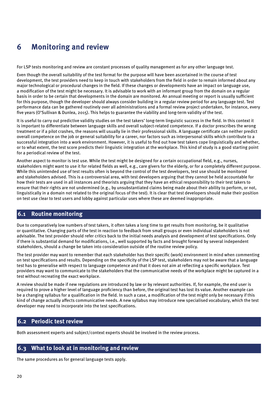# <span id="page-21-0"></span>**6 Monitoring and review**

For LSP tests monitoring and review are constant processes of quality management as for any other language test.

Even though the overall suitability of the test format for the purpose will have been ascertained in the course of test development, the test providers need to keep in touch with stakeholders from the field in order to remain informed about any major technological or procedural changes in the field. If these changes or developments have an impact on language use, a modification of the test might be necessary. It is advisable to work with an informant group from the domain on a regular basis in order to be certain that developments in the domain are monitored. An annual meeting or report is usually sufficient for this purpose, though the developer should always consider building in a regular review period for any language test. Test performance data can be gathered routinely over all administrations and a formal review project undertaken, for instance, every five years (O'Sullivan & Dunlea, 2015). This helps to guarantee the viability and long-term validity of the test.

It is useful to carry out predictive validity studies on the test takers' long-term linguistic success in the field. In this context it is important to differentiate between language skills and overall subject-related competence. If a doctor prescribes the wrong treatment or if a pilot crashes, the reasons will usually lie in their professional skills. A language certificate can neither predict overall competence on the job or general suitability for a career, nor factors such as interpersonal skills which contribute to a successful integration into a work environment. However, it is useful to find out how test takers cope linguistically and whether, or to what extent, the test score predicts their linguistic integration at the workplace. This kind of study is a good starting point for a periodical review of the test.

Another aspect to monitor is test use. While the test might be designed for a certain occupational field, e.g., nurses, stakeholders might want to use it for related fields as well, e.g., care givers for the elderly, or for a completely different purpose. While this unintended use of test results often is beyond the control of the test developers, test use should be monitored and stakeholders advised. This is a controversial area, with test developers arguing that they cannot be held accountable for how their tests are used in all instances and theorists arguing that they have an ethical responsibility to their test takers to ensure that their rights are not undermined (e.g., by unsubstantiated claims being made about their ability to perform, or not, linguistically in a domain not related to the original focus of the test). It is clear that test developers should make their position on test use clear to test users and lobby against particular uses where these are deemed inappropriate.

# **6.1 Routine monitoring**

Due to comparatively low numbers of test takers, it often takes a long time to get results from monitoring, be it qualitative or quantitative. Changing parts of the test in reaction to feedback from small groups or even individual stakeholders is not advisable. The test provider should refer critics back to the initial needs analysis and development of test specifications. Only if there is substantial demand for modifications, i.e., well supported by facts and brought forward by several independent stakeholders, should a change be taken into consideration outside of the routine review policy.

The test provider may want to remember that each stakeholder has their specific (work) environment in mind when commenting on test specifications and results. Depending on the specificity of the LSP test, stakeholders may not be aware that a language test has to generalise with respect to language competence and that it does not aim at reflecting a specific workplace. Test providers may want to communicate to the stakeholders that the communicative needs of the workplace might be captured in a test without recreating the exact workplace.

A review should be made if new regulations are introduced by law or by relevant authorities. If, for example, the end user is required to prove a higher level of language proficiency than before, the original test has lost its value. Another example can be a changing syllabus for a qualification in the field. In such a case, a modification of the test might only be necessary if this kind of change actually affects communicative needs. A new syllabus may introduce new specialised vocabulary, which the test developer may need to incorporate into the test specifications.

# **6.2 Periodic test review**

Both assessment experts and subject/context experts should be involved in the review process.

# **6.3 What to look at in monitoring and review**

The same procedures as for general language tests apply.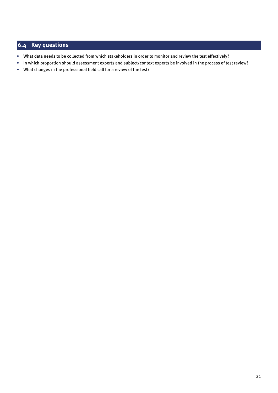# <span id="page-22-0"></span>**6.4 Key questions**

- What data needs to be collected from which stakeholders in order to monitor and review the test effectively?
- In which proportion should assessment experts and subject/context experts be involved in the process of test review?
- What changes in the professional field call for a review of the test?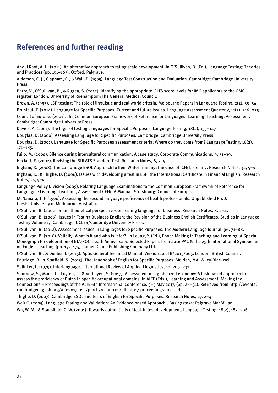# <span id="page-23-0"></span>**References and further reading**

Abdul Raof, A. H. (2011). An alternative approach to rating scale development. In O'Sullivan, B. (Ed.), Language Testing: Theories and Practices (pp. 151–163). Oxford: Palgrave.

Alderson, C. J., Clapham, C., & Wall, D. (1995). Language Test Construction and Evaluation. Cambridge: Cambridge University Press.

Berry, V., O'Sullivan, B., & Rugea, S. (2012). Identifying the appropriate IELTS score levels for IMG applicants to the GMC register. London: University of Roehampton/The General Medical Council.

Brown, A. (1993). LSP testing: The role of linguistic and real-world criteria. Melbourne Papers in Language Testing, 2(2), 35–54. Brunfaut, T. (2014). Language for Specific Purposes: Current and future issues. Language Assessment Quarterly, 11(2), 216–225. Council of Europe. (2001). The Common European Framework of Reference for Languages: Learning, Teaching, Assessment. Cambridge: Cambridge University Press.

Davies, A. (2001). The logic of testing Languages for Specific Purposes. Language Testing, 18(2), 133–147.

Douglas, D. (2000). Assessing Language for Specific Purposes. Cambridge: Cambridge University Press.

Douglas, D. (2001). Language for Specific Purposes assessment criteria: Where do they come from? Language Testing, 18(2), 171–185.

Fujio, M. (2004). Silence during intercultural communication: A case study. Corporate Communications, 9, 31–39.

Hackett, E. (2002). Revising the BULATS Standard Test. Research Notes, 8, 7–9.

Ingham, K. (2008). The Cambridge ESOL Approach to Item Writer Training: the Case of ICFE Listening. Research Notes, 32, 5–9. Ingham, K., & Thighe, D. (2006). Issues with developing a test in LSP: the International Certificate in Financial English. Research Notes, 25, 5–9.

Language Policy Division (2009). Relating Language Examinations to the Common European Framework of Reference for Languages: Learning, Teaching, Assessment CEFR. A Manual. Strasbourg: Council of Europe.

McNamara, T. F. (1990). Assessing the second language proficiency of health professionals. Unpublished Ph.D. thesis, University of Melbourne, Australia.

O'Sullivan, B. (2002). Some theoretical perspectives on testing language for business. Research Notes, 8, 2–4.

O'Sullivan, B. (2006). Issues in Testing Business English: the Revision of the Business English Certificates. Studies in Language Testing Volume 17. Cambridge: UCLES/Cambridge University Press.

O'Sullivan, B. (2012). Assessment Issues in Languages for Specific Purposes. The Modern Language Journal, 96, 71–88.

O'Sullivan, B. (2016). Validity: What is it and who is it for?. In Leung, Y. (Ed.), Epoch Making in Teaching and Learning: A Special Monograph for Celebration of ETA-ROC's 24th Anniversary. Selected Papers from 2016 PAC & The 25th International Symposium on English Teaching (pp. 157–175). Taipei: Crane Publishing Company Ltd.

O'Sullivan, B., & Dunlea, J. (2015). Aptis General Technical Manual: Version 1.0. TR/2015/005. London: British Council.

Paltridge, B., & Starfield, S. (2013). The Handbook of English for Specific Purposes. Malden, MA: Wiley-Blackwell.

Selinker, L. (1979). Interlanguage. International Review of Applied Linguistics, 10, 209–231.

Smirnow, S., Maes, C., Luyten, L., & Verheyen, S. (2017). Assessment in a globalized economy: A task-based approach to assess the proficiency of Dutch in specific occupational domains. In ALTE (Eds.), Learning and Assessment: Making the Connections – Proceedings of the ALTE 6th International Conference, 3–5 May 2017, (pp. 26–31). Retrieved from http://events. cambridgeenglish.org/alte2017-test/perch/resources/alte-2017-proceedings-final.pdf.

Thighe, D. (2007). Cambridge ESOL and tests of English for Specific Purposes. Research Notes, 27, 2–4.

Weir C. (2005). Language Testing and Validation: An Evidence-based Approach.. Basingstoke: Palgrave MacMillan.

Wu, W. M., & Stansfield, C. W. (2001). Towards authenticity of task in test development. Language Testing, 18(2), 187–206.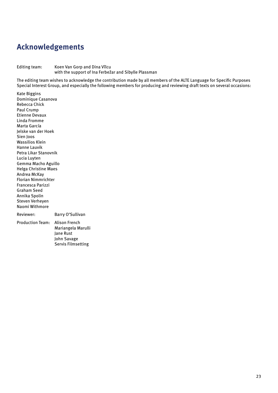# <span id="page-24-0"></span>**Acknowledgements**

#### Editing team: Koen Van Gorp and Dina Vîlcu with the support of Ina Ferbežar and Sibylle Plassman

The editing team wishes to acknowledge the contribution made by all members of the ALTE Language for Specific Purposes Special Interest Group, and especially the following members for producing and reviewing draft texts on several occasions:

Kate Biggins Dominique Casanova Rebecca Chick Paul Crump Etienne Devaux Linda Fromme Marta García Jelske van der Hoek Sien Joos Wassilios Klein Hanne Lauvik Petra Likar Stanovnik Lucia Luyten Gemma Macho Aguillo Helga Christine Maes Andrea McKay Florian Nimmrichter Francesca Parizzi Graham Seed Annika Spolin Steven Verheyen Naomi Withmore

Reviewer: Barry O'Sullivan

Production Team: Alison French Mariangela Marulli Jane Rust John Savage Servis Filmsetting